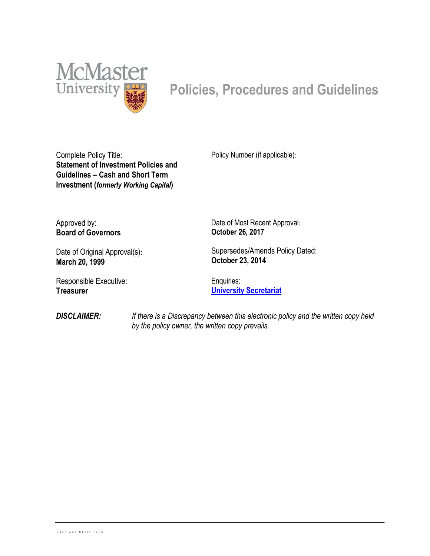

# **Policies, Procedures and Guidelines**

Complete Policy Title: **Statement of Investment Policies and Guidelines – Cash and Short Term Investment (***formerly Working Capital***)**

Policy Number (if applicable):

Approved by: **Board of Governors**

Date of Original Approval(s): **March 20, 1999**

Responsible Executive: **Treasurer**

Date of Most Recent Approval: **October 26, 2017**

Supersedes/Amends Policy Dated: **October 23, 2014**

Enquiries: **University Secretariat**

*DISCLAIMER: If there is a Discrepancy between this electronic policy and the written copy held by the policy owner, the written copy prevails.*

<u>.</u>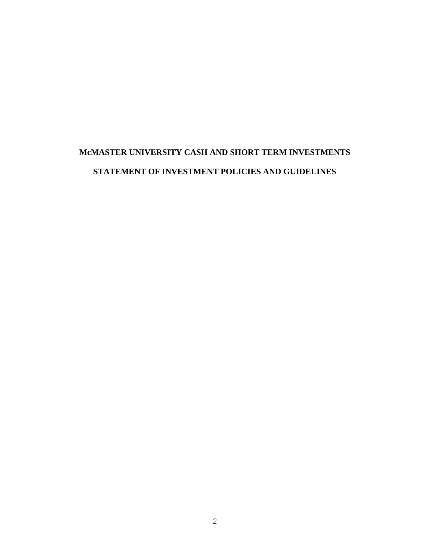## **McMASTER UNIVERSITY CASH AND SHORT TERM INVESTMENTS STATEMENT OF INVESTMENT POLICIES AND GUIDELINES**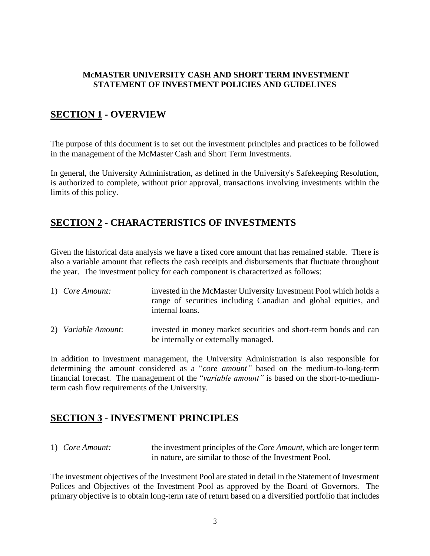#### **McMASTER UNIVERSITY CASH AND SHORT TERM INVESTMENT STATEMENT OF INVESTMENT POLICIES AND GUIDELINES**

## **SECTION 1 - OVERVIEW**

The purpose of this document is to set out the investment principles and practices to be followed in the management of the McMaster Cash and Short Term Investments.

In general, the University Administration, as defined in the University's Safekeeping Resolution, is authorized to complete, without prior approval, transactions involving investments within the limits of this policy.

## **SECTION 2 - CHARACTERISTICS OF INVESTMENTS**

Given the historical data analysis we have a fixed core amount that has remained stable. There is also a variable amount that reflects the cash receipts and disbursements that fluctuate throughout the year. The investment policy for each component is characterized as follows:

| 1) Core Amount:     | invested in the McMaster University Investment Pool which holds a<br>range of securities including Canadian and global equities, and<br>internal loans. |
|---------------------|---------------------------------------------------------------------------------------------------------------------------------------------------------|
| 2) Variable Amount: | invested in money market securities and short-term bonds and can<br>be internally or externally managed.                                                |

In addition to investment management, the University Administration is also responsible for determining the amount considered as a "*core amount"* based on the medium-to-long-term financial forecast. The management of the "*variable amount"* is based on the short-to-mediumterm cash flow requirements of the University.

## **SECTION 3 - INVESTMENT PRINCIPLES**

1) *Core Amount:* the investment principles of the *Core Amount*, which are longer term in nature, are similar to those of the Investment Pool.

The investment objectives of the Investment Pool are stated in detail in the Statement of Investment Polices and Objectives of the Investment Pool as approved by the Board of Governors. The primary objective is to obtain long-term rate of return based on a diversified portfolio that includes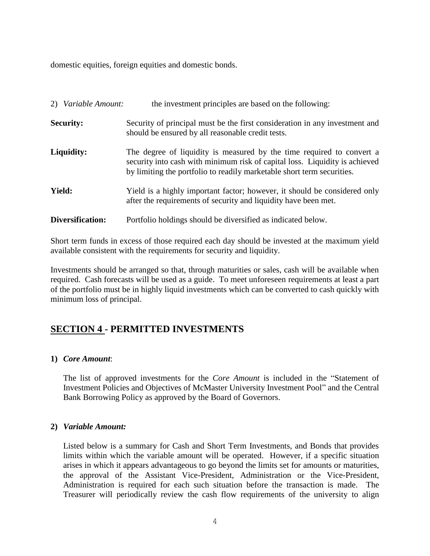domestic equities, foreign equities and domestic bonds.

|                  | 2) Variable Amount: | the investment principles are based on the following:                                                                                                                                                                          |  |
|------------------|---------------------|--------------------------------------------------------------------------------------------------------------------------------------------------------------------------------------------------------------------------------|--|
| <b>Security:</b> |                     | Security of principal must be the first consideration in any investment and<br>should be ensured by all reasonable credit tests.                                                                                               |  |
|                  | Liquidity:          | The degree of liquidity is measured by the time required to convert a<br>security into cash with minimum risk of capital loss. Liquidity is achieved<br>by limiting the portfolio to readily marketable short term securities. |  |
|                  | <b>Yield:</b>       | Yield is a highly important factor; however, it should be considered only<br>after the requirements of security and liquidity have been met.                                                                                   |  |
|                  | Diversification:    | Portfolio holdings should be diversified as indicated below.                                                                                                                                                                   |  |

Short term funds in excess of those required each day should be invested at the maximum yield available consistent with the requirements for security and liquidity.

Investments should be arranged so that, through maturities or sales, cash will be available when required. Cash forecasts will be used as a guide. To meet unforeseen requirements at least a part of the portfolio must be in highly liquid investments which can be converted to cash quickly with minimum loss of principal.

## **SECTION 4 - PERMITTED INVESTMENTS**

#### **1)** *Core Amount*:

The list of approved investments for the *Core Amount* is included in the "Statement of Investment Policies and Objectives of McMaster University Investment Pool" and the Central Bank Borrowing Policy as approved by the Board of Governors.

#### **2)** *Variable Amount:*

Listed below is a summary for Cash and Short Term Investments, and Bonds that provides limits within which the variable amount will be operated. However, if a specific situation arises in which it appears advantageous to go beyond the limits set for amounts or maturities, the approval of the Assistant Vice-President, Administration or the Vice-President, Administration is required for each such situation before the transaction is made. The Treasurer will periodically review the cash flow requirements of the university to align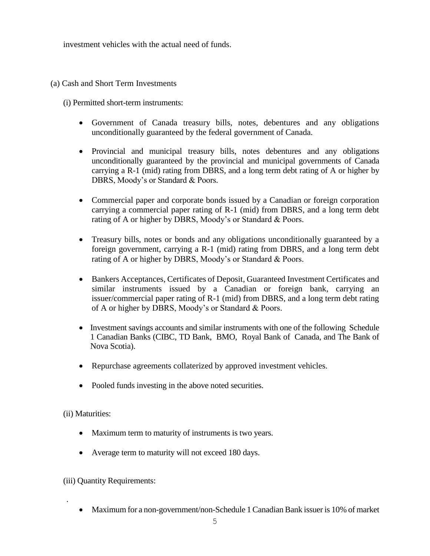investment vehicles with the actual need of funds.

(a) Cash and Short Term Investments

(i) Permitted short-term instruments:

- Government of Canada treasury bills, notes, debentures and any obligations unconditionally guaranteed by the federal government of Canada.
- Provincial and municipal treasury bills, notes debentures and any obligations unconditionally guaranteed by the provincial and municipal governments of Canada carrying a R-1 (mid) rating from DBRS, and a long term debt rating of A or higher by DBRS, Moody's or Standard & Poors.
- Commercial paper and corporate bonds issued by a Canadian or foreign corporation carrying a commercial paper rating of R-1 (mid) from DBRS, and a long term debt rating of A or higher by DBRS, Moody's or Standard & Poors.
- Treasury bills, notes or bonds and any obligations unconditionally guaranteed by a foreign government, carrying a R-1 (mid) rating from DBRS, and a long term debt rating of A or higher by DBRS, Moody's or Standard & Poors.
- Bankers Acceptances, Certificates of Deposit, Guaranteed Investment Certificates and similar instruments issued by a Canadian or foreign bank, carrying an issuer/commercial paper rating of R-1 (mid) from DBRS, and a long term debt rating of A or higher by DBRS, Moody's or Standard & Poors.
- Investment savings accounts and similar instruments with one of the following Schedule 1 Canadian Banks (CIBC, TD Bank, BMO, Royal Bank of Canada, and The Bank of Nova Scotia).
- Repurchase agreements collaterized by approved investment vehicles.
- Pooled funds investing in the above noted securities.

(ii) Maturities:

.

- Maximum term to maturity of instruments is two years.
- Average term to maturity will not exceed 180 days.

(iii) Quantity Requirements:

• Maximum for a non-government/non-Schedule 1 Canadian Bank issuer is 10% of market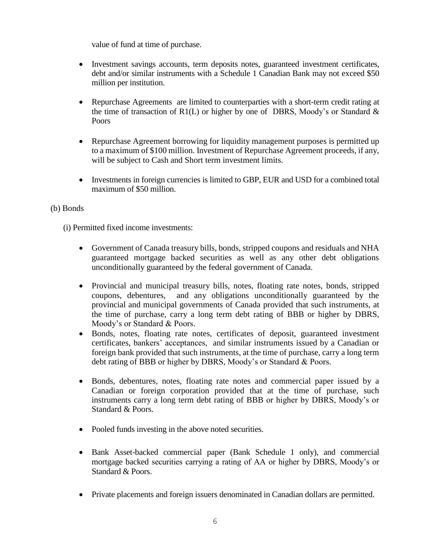value of fund at time of purchase.

- Investment savings accounts, term deposits notes, guaranteed investment certificates, debt and/or similar instruments with a Schedule 1 Canadian Bank may not exceed \$50 million per institution.
- Repurchase Agreements are limited to counterparties with a short-term credit rating at the time of transaction of  $R1(L)$  or higher by one of DBRS, Moody's or Standard  $\&$ Poors
- Repurchase Agreement borrowing for liquidity management purposes is permitted up to a maximum of \$100 million. Investment of Repurchase Agreement proceeds, if any, will be subject to Cash and Short term investment limits.
- Investments in foreign currencies is limited to GBP, EUR and USD for a combined total maximum of \$50 million.

#### (b) Bonds

(i) Permitted fixed income investments:

- Government of Canada treasury bills, bonds, stripped coupons and residuals and NHA guaranteed mortgage backed securities as well as any other debt obligations unconditionally guaranteed by the federal government of Canada.
- Provincial and municipal treasury bills, notes, floating rate notes, bonds, stripped coupons, debentures, and any obligations unconditionally guaranteed by the provincial and municipal governments of Canada provided that such instruments, at the time of purchase, carry a long term debt rating of BBB or higher by DBRS, Moody's or Standard & Poors.
- Bonds, notes, floating rate notes, certificates of deposit, guaranteed investment certificates, bankers' acceptances, and similar instruments issued by a Canadian or foreign bank provided that such instruments, at the time of purchase, carry a long term debt rating of BBB or higher by DBRS, Moody's or Standard & Poors.
- Bonds, debentures, notes, floating rate notes and commercial paper issued by a Canadian or foreign corporation provided that at the time of purchase, such instruments carry a long term debt rating of BBB or higher by DBRS, Moody's or Standard & Poors.
- Pooled funds investing in the above noted securities.
- Bank Asset-backed commercial paper (Bank Schedule 1 only), and commercial mortgage backed securities carrying a rating of AA or higher by DBRS, Moody's or Standard & Poors.
- Private placements and foreign issuers denominated in Canadian dollars are permitted.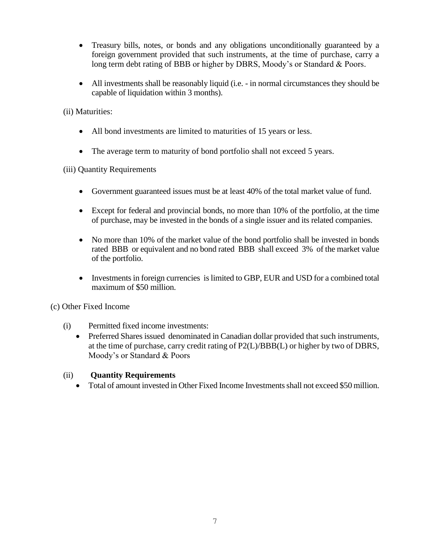- Treasury bills, notes, or bonds and any obligations unconditionally guaranteed by a foreign government provided that such instruments, at the time of purchase, carry a long term debt rating of BBB or higher by DBRS, Moody's or Standard & Poors.
- All investments shall be reasonably liquid (i.e. in normal circumstances they should be capable of liquidation within 3 months).

(ii) Maturities:

- All bond investments are limited to maturities of 15 years or less.
- The average term to maturity of bond portfolio shall not exceed 5 years.

(iii) Quantity Requirements

- Government guaranteed issues must be at least 40% of the total market value of fund.
- Except for federal and provincial bonds, no more than 10% of the portfolio, at the time of purchase, may be invested in the bonds of a single issuer and its related companies.
- No more than 10% of the market value of the bond portfolio shall be invested in bonds rated BBB or equivalent and no bond rated BBB shall exceed 3% of the market value of the portfolio.
- Investments in foreign currencies is limited to GBP, EUR and USD for a combined total maximum of \$50 million.

(c) Other Fixed Income

- (i) Permitted fixed income investments:
	- Preferred Shares issued denominated in Canadian dollar provided that such instruments, at the time of purchase, carry credit rating of P2(L)/BBB(L) or higher by two of DBRS, Moody's or Standard & Poors

#### (ii) **Quantity Requirements**

Total of amount invested in Other Fixed Income Investments shall not exceed \$50 million.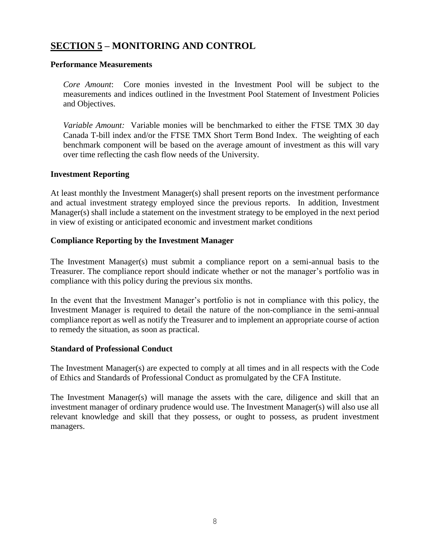## **SECTION 5 – MONITORING AND CONTROL**

#### **Performance Measurements**

*Core Amount*: Core monies invested in the Investment Pool will be subject to the measurements and indices outlined in the Investment Pool Statement of Investment Policies and Objectives.

*Variable Amount:* Variable monies will be benchmarked to either the FTSE TMX 30 day Canada T-bill index and/or the FTSE TMX Short Term Bond Index. The weighting of each benchmark component will be based on the average amount of investment as this will vary over time reflecting the cash flow needs of the University.

#### **Investment Reporting**

At least monthly the Investment Manager(s) shall present reports on the investment performance and actual investment strategy employed since the previous reports. In addition, Investment Manager(s) shall include a statement on the investment strategy to be employed in the next period in view of existing or anticipated economic and investment market conditions

#### **Compliance Reporting by the Investment Manager**

The Investment Manager(s) must submit a compliance report on a semi-annual basis to the Treasurer. The compliance report should indicate whether or not the manager's portfolio was in compliance with this policy during the previous six months.

In the event that the Investment Manager's portfolio is not in compliance with this policy, the Investment Manager is required to detail the nature of the non-compliance in the semi-annual compliance report as well as notify the Treasurer and to implement an appropriate course of action to remedy the situation, as soon as practical.

#### **Standard of Professional Conduct**

The Investment Manager(s) are expected to comply at all times and in all respects with the Code of Ethics and Standards of Professional Conduct as promulgated by the CFA Institute.

The Investment Manager(s) will manage the assets with the care, diligence and skill that an investment manager of ordinary prudence would use. The Investment Manager(s) will also use all relevant knowledge and skill that they possess, or ought to possess, as prudent investment managers.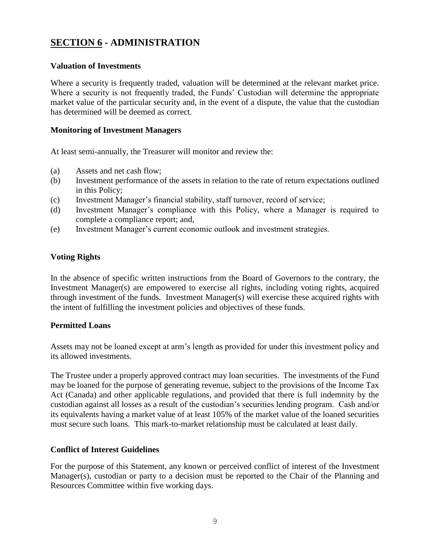## **SECTION 6 - ADMINISTRATION**

#### **Valuation of Investments**

Where a security is frequently traded, valuation will be determined at the relevant market price. Where a security is not frequently traded, the Funds' Custodian will determine the appropriate market value of the particular security and, in the event of a dispute, the value that the custodian has determined will be deemed as correct.

#### **Monitoring of Investment Managers**

At least semi-annually, the Treasurer will monitor and review the:

- (a) Assets and net cash flow;
- (b) Investment performance of the assets in relation to the rate of return expectations outlined in this Policy;
- (c) Investment Manager's financial stability, staff turnover, record of service;
- (d) Investment Manager's compliance with this Policy, where a Manager is required to complete a compliance report; and,
- (e) Investment Manager's current economic outlook and investment strategies.

#### **Voting Rights**

In the absence of specific written instructions from the Board of Governors to the contrary, the Investment Manager(s) are empowered to exercise all rights, including voting rights, acquired through investment of the funds. Investment Manager(s) will exercise these acquired rights with the intent of fulfilling the investment policies and objectives of these funds.

#### **Permitted Loans**

Assets may not be loaned except at arm's length as provided for under this investment policy and its allowed investments.

The Trustee under a properly approved contract may loan securities. The investments of the Fund may be loaned for the purpose of generating revenue, subject to the provisions of the Income Tax Act (Canada) and other applicable regulations, and provided that there is full indemnity by the custodian against all losses as a result of the custodian's securities lending program. Cash and/or its equivalents having a market value of at least 105% of the market value of the loaned securities must secure such loans. This mark-to-market relationship must be calculated at least daily.

#### **Conflict of Interest Guidelines**

For the purpose of this Statement, any known or perceived conflict of interest of the Investment Manager(s), custodian or party to a decision must be reported to the Chair of the Planning and Resources Committee within five working days.